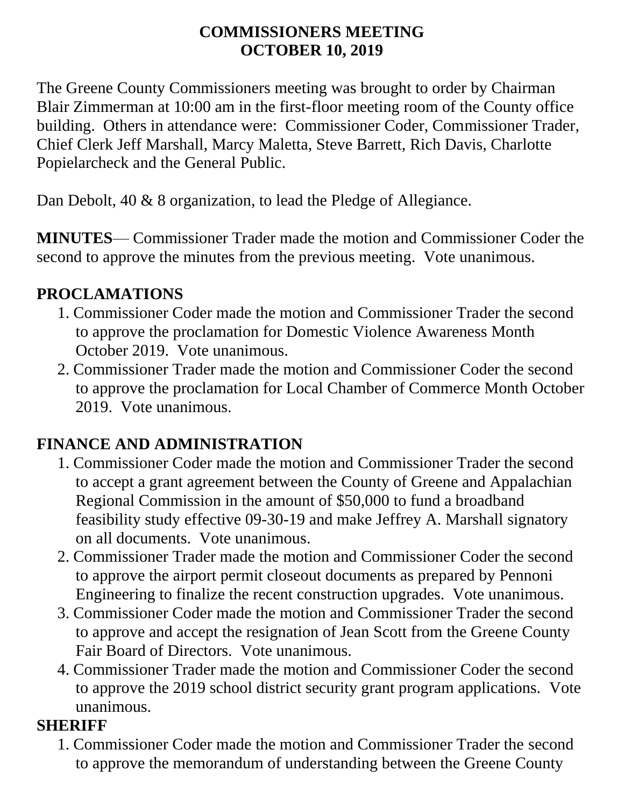#### **COMMISSIONERS MEETING OCTOBER 10, 2019**

The Greene County Commissioners meeting was brought to order by Chairman Blair Zimmerman at 10:00 am in the first-floor meeting room of the County office building. Others in attendance were: Commissioner Coder, Commissioner Trader, Chief Clerk Jeff Marshall, Marcy Maletta, Steve Barrett, Rich Davis, Charlotte Popielarcheck and the General Public.

Dan Debolt, 40 & 8 organization, to lead the Pledge of Allegiance.

**MINUTES**— Commissioner Trader made the motion and Commissioner Coder the second to approve the minutes from the previous meeting. Vote unanimous.

#### **PROCLAMATIONS**

- 1. Commissioner Coder made the motion and Commissioner Trader the second to approve the proclamation for Domestic Violence Awareness Month October 2019.Vote unanimous.
- 2. Commissioner Trader made the motion and Commissioner Coder the second to approve the proclamation for Local Chamber of Commerce Month October 2019. Vote unanimous.

### **FINANCE AND ADMINISTRATION**

- 1. Commissioner Coder made the motion and Commissioner Trader the second to accept a grant agreement between the County of Greene and Appalachian Regional Commission in the amount of \$50,000 to fund a broadband feasibility study effective 09-30-19 and make Jeffrey A. Marshall signatory on all documents. Vote unanimous.
- 2. Commissioner Trader made the motion and Commissioner Coder the second to approve the airport permit closeout documents as prepared by Pennoni Engineering to finalize the recent construction upgrades. Vote unanimous.
- 3. Commissioner Coder made the motion and Commissioner Trader the second to approve and accept the resignation of Jean Scott from the Greene County Fair Board of Directors. Vote unanimous.
- 4. Commissioner Trader made the motion and Commissioner Coder the second to approve the 2019 school district security grant program applications. Vote unanimous.

#### **SHERIFF**

1. Commissioner Coder made the motion and Commissioner Trader the second to approve the memorandum of understanding between the Greene County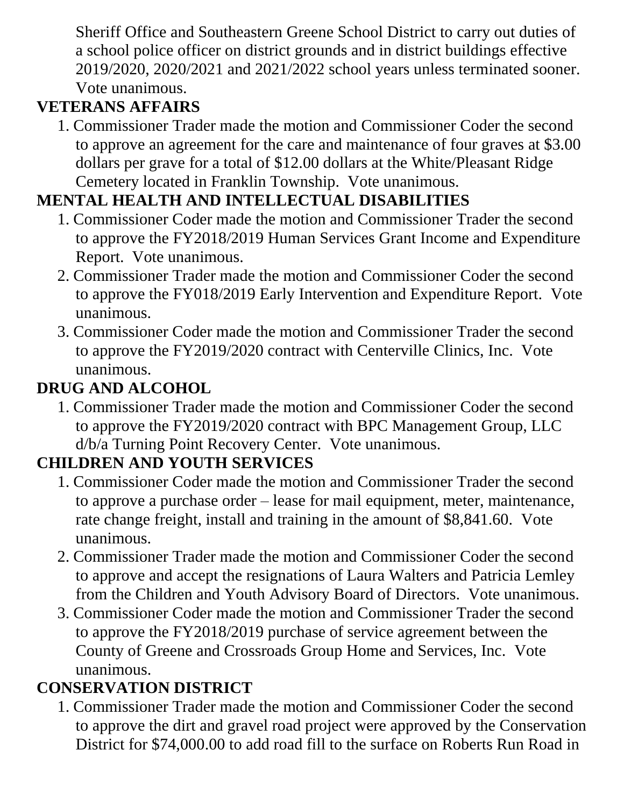Sheriff Office and Southeastern Greene School District to carry out duties of a school police officer on district grounds and in district buildings effective 2019/2020, 2020/2021 and 2021/2022 school years unless terminated sooner. Vote unanimous.

## **VETERANS AFFAIRS**

1. Commissioner Trader made the motion and Commissioner Coder the second to approve an agreement for the care and maintenance of four graves at \$3.00 dollars per grave for a total of \$12.00 dollars at the White/Pleasant Ridge Cemetery located in Franklin Township. Vote unanimous.

# **MENTAL HEALTH AND INTELLECTUAL DISABILITIES**

- 1. Commissioner Coder made the motion and Commissioner Trader the second to approve the FY2018/2019 Human Services Grant Income and Expenditure Report. Vote unanimous.
- 2. Commissioner Trader made the motion and Commissioner Coder the second to approve the FY018/2019 Early Intervention and Expenditure Report. Vote unanimous.
- 3. Commissioner Coder made the motion and Commissioner Trader the second to approve the FY2019/2020 contract with Centerville Clinics, Inc. Vote unanimous.

### **DRUG AND ALCOHOL**

1. Commissioner Trader made the motion and Commissioner Coder the second to approve the FY2019/2020 contract with BPC Management Group, LLC d/b/a Turning Point Recovery Center. Vote unanimous.

### **CHILDREN AND YOUTH SERVICES**

- 1. Commissioner Coder made the motion and Commissioner Trader the second to approve a purchase order – lease for mail equipment, meter, maintenance, rate change freight, install and training in the amount of \$8,841.60. Vote unanimous.
- 2. Commissioner Trader made the motion and Commissioner Coder the second to approve and accept the resignations of Laura Walters and Patricia Lemley from the Children and Youth Advisory Board of Directors. Vote unanimous.
- 3. Commissioner Coder made the motion and Commissioner Trader the second to approve the FY2018/2019 purchase of service agreement between the County of Greene and Crossroads Group Home and Services, Inc. Vote unanimous.

### **CONSERVATION DISTRICT**

1. Commissioner Trader made the motion and Commissioner Coder the second to approve the dirt and gravel road project were approved by the Conservation District for \$74,000.00 to add road fill to the surface on Roberts Run Road in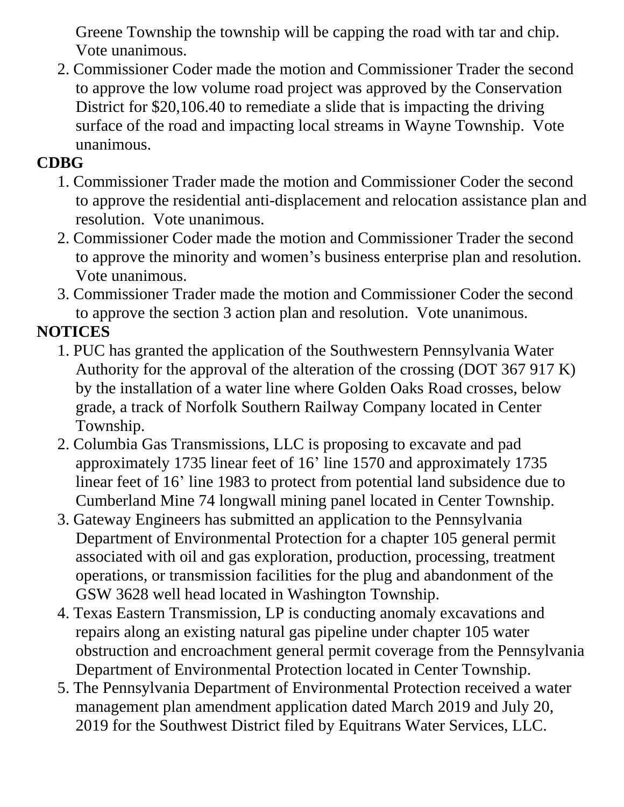Greene Township the township will be capping the road with tar and chip. Vote unanimous.

2. Commissioner Coder made the motion and Commissioner Trader the second to approve the low volume road project was approved by the Conservation District for \$20,106.40 to remediate a slide that is impacting the driving surface of the road and impacting local streams in Wayne Township. Vote unanimous.

### **CDBG**

- 1. Commissioner Trader made the motion and Commissioner Coder the second to approve the residential anti-displacement and relocation assistance plan and resolution. Vote unanimous.
- 2. Commissioner Coder made the motion and Commissioner Trader the second to approve the minority and women's business enterprise plan and resolution. Vote unanimous.
- 3. Commissioner Trader made the motion and Commissioner Coder the second to approve the section 3 action plan and resolution. Vote unanimous.

## **NOTICES**

- 1. PUC has granted the application of the Southwestern Pennsylvania Water Authority for the approval of the alteration of the crossing (DOT 367 917 K) by the installation of a water line where Golden Oaks Road crosses, below grade, a track of Norfolk Southern Railway Company located in Center Township.
- 2. Columbia Gas Transmissions, LLC is proposing to excavate and pad approximately 1735 linear feet of 16' line 1570 and approximately 1735 linear feet of 16' line 1983 to protect from potential land subsidence due to Cumberland Mine 74 longwall mining panel located in Center Township.
- 3. Gateway Engineers has submitted an application to the Pennsylvania Department of Environmental Protection for a chapter 105 general permit associated with oil and gas exploration, production, processing, treatment operations, or transmission facilities for the plug and abandonment of the GSW 3628 well head located in Washington Township.
- 4. Texas Eastern Transmission, LP is conducting anomaly excavations and repairs along an existing natural gas pipeline under chapter 105 water obstruction and encroachment general permit coverage from the Pennsylvania Department of Environmental Protection located in Center Township.
- 5. The Pennsylvania Department of Environmental Protection received a water management plan amendment application dated March 2019 and July 20, 2019 for the Southwest District filed by Equitrans Water Services, LLC.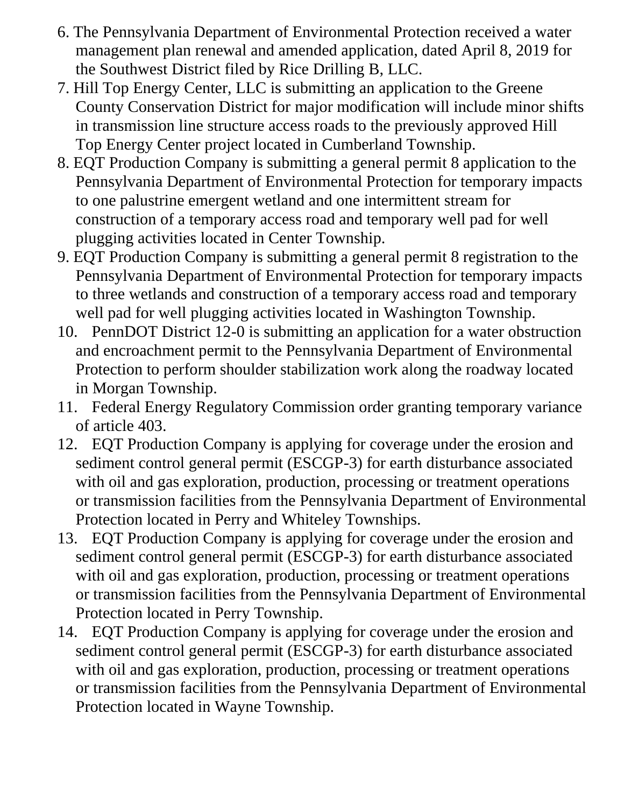- 6. The Pennsylvania Department of Environmental Protection received a water management plan renewal and amended application, dated April 8, 2019 for the Southwest District filed by Rice Drilling B, LLC.
- 7. Hill Top Energy Center, LLC is submitting an application to the Greene County Conservation District for major modification will include minor shifts in transmission line structure access roads to the previously approved Hill Top Energy Center project located in Cumberland Township.
- 8. EQT Production Company is submitting a general permit 8 application to the Pennsylvania Department of Environmental Protection for temporary impacts to one palustrine emergent wetland and one intermittent stream for construction of a temporary access road and temporary well pad for well plugging activities located in Center Township.
- 9. EQT Production Company is submitting a general permit 8 registration to the Pennsylvania Department of Environmental Protection for temporary impacts to three wetlands and construction of a temporary access road and temporary well pad for well plugging activities located in Washington Township.
- 10. PennDOT District 12-0 is submitting an application for a water obstruction and encroachment permit to the Pennsylvania Department of Environmental Protection to perform shoulder stabilization work along the roadway located in Morgan Township.
- 11. Federal Energy Regulatory Commission order granting temporary variance of article 403.
- 12. EQT Production Company is applying for coverage under the erosion and sediment control general permit (ESCGP-3) for earth disturbance associated with oil and gas exploration, production, processing or treatment operations or transmission facilities from the Pennsylvania Department of Environmental Protection located in Perry and Whiteley Townships.
- 13. EQT Production Company is applying for coverage under the erosion and sediment control general permit (ESCGP-3) for earth disturbance associated with oil and gas exploration, production, processing or treatment operations or transmission facilities from the Pennsylvania Department of Environmental Protection located in Perry Township.
- 14. EQT Production Company is applying for coverage under the erosion and sediment control general permit (ESCGP-3) for earth disturbance associated with oil and gas exploration, production, processing or treatment operations or transmission facilities from the Pennsylvania Department of Environmental Protection located in Wayne Township.